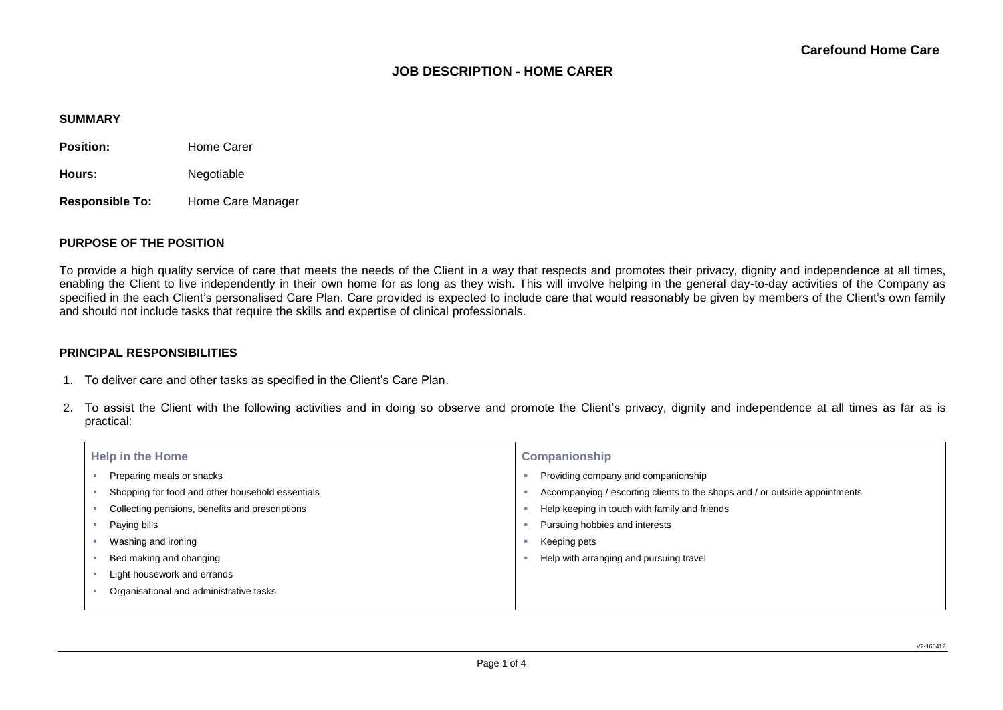#### **SUMMARY**

**Position:** Home Carer

**Hours:** Negotiable

**Responsible To:** Home Care Manager

### **PURPOSE OF THE POSITION**

To provide a high quality service of care that meets the needs of the Client in a way that respects and promotes their privacy, dignity and independence at all times, enabling the Client to live independently in their own home for as long as they wish. This will involve helping in the general day-to-day activities of the Company as specified in the each Client's personalised Care Plan. Care provided is expected to include care that would reasonably be given by members of the Client's own family and should not include tasks that require the skills and expertise of clinical professionals.

### **PRINCIPAL RESPONSIBILITIES**

- 1. To deliver care and other tasks as specified in the Client's Care Plan.
- 2. To assist the Client with the following activities and in doing so observe and promote the Client's privacy, dignity and independence at all times as far as is practical:

| Help in the Home                                 | <b>Companionship</b>                                                        |
|--------------------------------------------------|-----------------------------------------------------------------------------|
| Preparing meals or snacks                        | Providing company and companionship                                         |
| Shopping for food and other household essentials | Accompanying / escorting clients to the shops and / or outside appointments |
| Collecting pensions, benefits and prescriptions  | Help keeping in touch with family and friends                               |
| Paying bills                                     | Pursuing hobbies and interests                                              |
| Washing and ironing                              | Keeping pets                                                                |
| Bed making and changing                          | Help with arranging and pursuing travel                                     |
| Light housework and errands                      |                                                                             |
| Organisational and administrative tasks          |                                                                             |
|                                                  |                                                                             |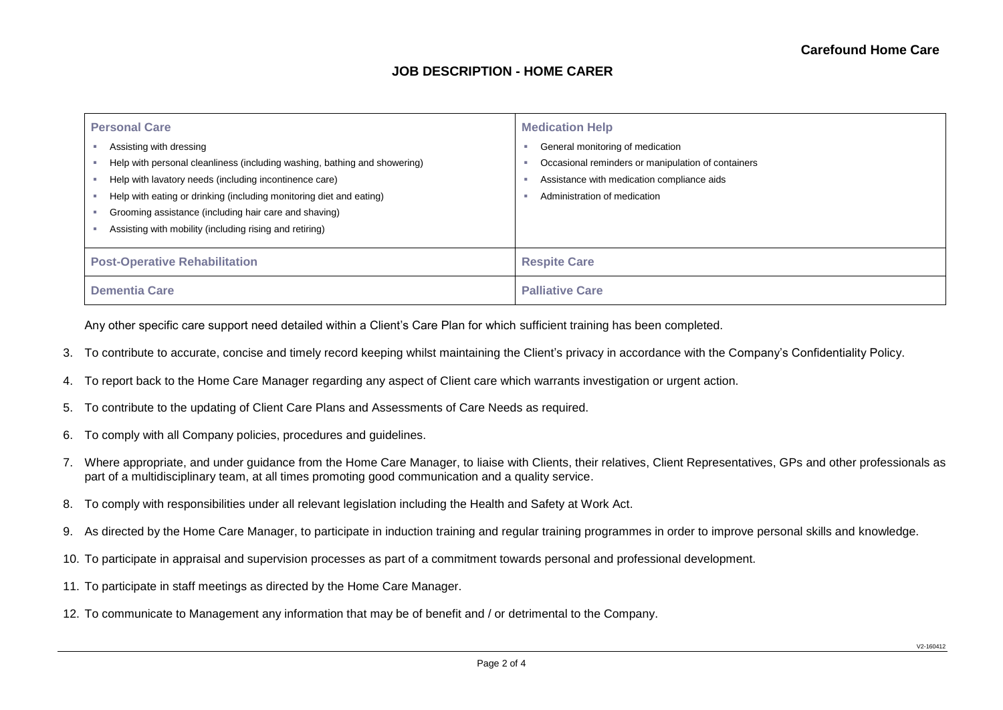| <b>Personal Care</b>                                                                                                                                                                                                                                                                                                                                      | <b>Medication Help</b>                                                                                                                                               |  |
|-----------------------------------------------------------------------------------------------------------------------------------------------------------------------------------------------------------------------------------------------------------------------------------------------------------------------------------------------------------|----------------------------------------------------------------------------------------------------------------------------------------------------------------------|--|
| Assisting with dressing<br>Help with personal cleanliness (including washing, bathing and showering)<br>Help with lavatory needs (including incontinence care)<br>Help with eating or drinking (including monitoring diet and eating)<br>Grooming assistance (including hair care and shaving)<br>Assisting with mobility (including rising and retiring) | General monitoring of medication<br>Occasional reminders or manipulation of containers<br>Assistance with medication compliance aids<br>Administration of medication |  |
| <b>Post-Operative Rehabilitation</b>                                                                                                                                                                                                                                                                                                                      | <b>Respite Care</b>                                                                                                                                                  |  |
| <b>Dementia Care</b>                                                                                                                                                                                                                                                                                                                                      | <b>Palliative Care</b>                                                                                                                                               |  |

Any other specific care support need detailed within a Client's Care Plan for which sufficient training has been completed.

- 3. To contribute to accurate, concise and timely record keeping whilst maintaining the Client's privacy in accordance with the Company's Confidentiality Policy.
- 4. To report back to the Home Care Manager regarding any aspect of Client care which warrants investigation or urgent action.
- 5. To contribute to the updating of Client Care Plans and Assessments of Care Needs as required.
- 6. To comply with all Company policies, procedures and guidelines.
- 7. Where appropriate, and under guidance from the Home Care Manager, to liaise with Clients, their relatives, Client Representatives, GPs and other professionals as part of a multidisciplinary team, at all times promoting good communication and a quality service.
- 8. To comply with responsibilities under all relevant legislation including the Health and Safety at Work Act.
- 9. As directed by the Home Care Manager, to participate in induction training and regular training programmes in order to improve personal skills and knowledge.
- 10. To participate in appraisal and supervision processes as part of a commitment towards personal and professional development.
- 11. To participate in staff meetings as directed by the Home Care Manager.
- 12. To communicate to Management any information that may be of benefit and / or detrimental to the Company.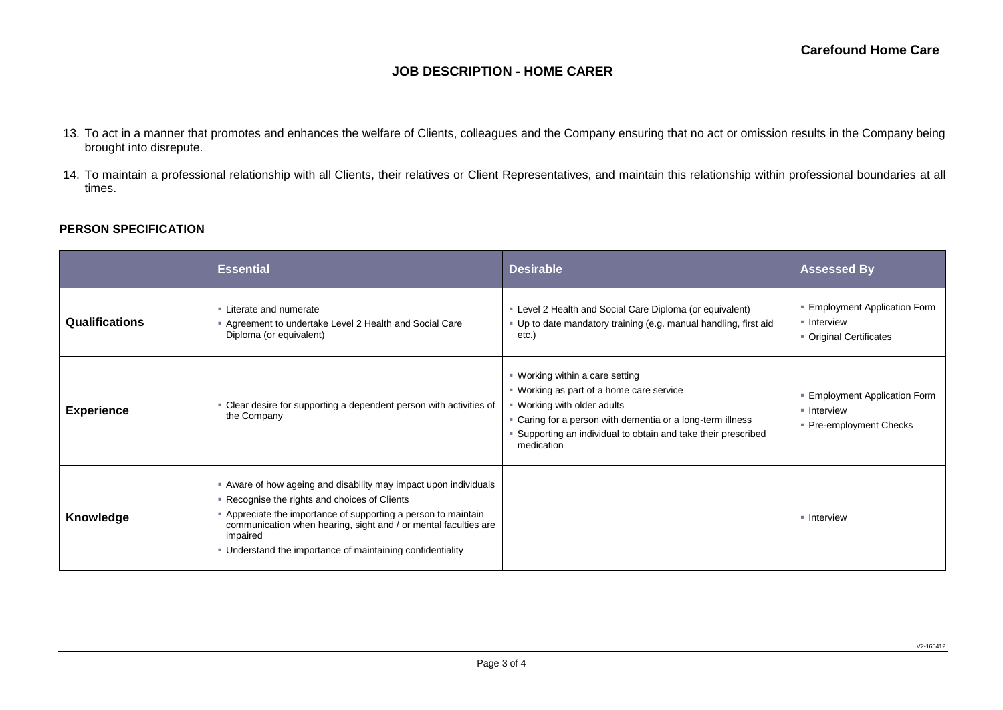## **JOB DESCRIPTION - HOME CARER**

- 13. To act in a manner that promotes and enhances the welfare of Clients, colleagues and the Company ensuring that no act or omission results in the Company being brought into disrepute.
- 14. To maintain a professional relationship with all Clients, their relatives or Client Representatives, and maintain this relationship within professional boundaries at all times.

### **PERSON SPECIFICATION**

|                       | <b>Essential</b>                                                                                                                                                                                                                                                                                                             | <b>Desirable</b>                                                                                                                                                                                                                                       | <b>Assessed By</b>                                                           |
|-----------------------|------------------------------------------------------------------------------------------------------------------------------------------------------------------------------------------------------------------------------------------------------------------------------------------------------------------------------|--------------------------------------------------------------------------------------------------------------------------------------------------------------------------------------------------------------------------------------------------------|------------------------------------------------------------------------------|
| <b>Qualifications</b> | • Literate and numerate<br>Agreement to undertake Level 2 Health and Social Care<br>Diploma (or equivalent)                                                                                                                                                                                                                  | • Level 2 Health and Social Care Diploma (or equivalent)<br>. Up to date mandatory training (e.g. manual handling, first aid<br>etc.)                                                                                                                  | <b>Employment Application Form</b><br>• Interview<br>• Original Certificates |
| <b>Experience</b>     | Clear desire for supporting a dependent person with activities of<br>the Company                                                                                                                                                                                                                                             | • Working within a care setting<br>■ Working as part of a home care service<br>• Working with older adults<br>• Caring for a person with dementia or a long-term illness<br>Supporting an individual to obtain and take their prescribed<br>medication | <b>Employment Application Form</b><br>• Interview<br>• Pre-employment Checks |
| Knowledge             | Aware of how ageing and disability may impact upon individuals<br>Recognise the rights and choices of Clients<br>• Appreciate the importance of supporting a person to maintain<br>communication when hearing, sight and / or mental faculties are<br>impaired<br>• Understand the importance of maintaining confidentiality |                                                                                                                                                                                                                                                        | · Interview                                                                  |